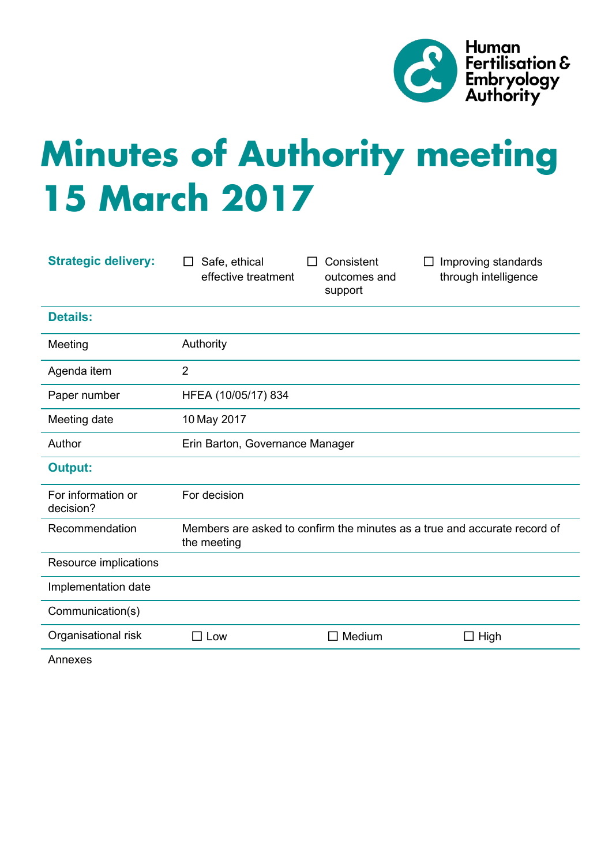

# **Minutes of Authority meeting 15 March 2017**

| <b>Strategic delivery:</b>         | Safe, ethical<br>$\perp$<br>effective treatment                                          | Consistent<br>ΙI<br>outcomes and<br>support | Improving standards<br>through intelligence |
|------------------------------------|------------------------------------------------------------------------------------------|---------------------------------------------|---------------------------------------------|
| <b>Details:</b>                    |                                                                                          |                                             |                                             |
| Meeting                            | Authority                                                                                |                                             |                                             |
| Agenda item                        | $\overline{2}$                                                                           |                                             |                                             |
| Paper number                       | HFEA (10/05/17) 834                                                                      |                                             |                                             |
| Meeting date                       | 10 May 2017                                                                              |                                             |                                             |
| Author                             | Erin Barton, Governance Manager                                                          |                                             |                                             |
| <b>Output:</b>                     |                                                                                          |                                             |                                             |
| For information or<br>decision?    | For decision                                                                             |                                             |                                             |
| Recommendation                     | Members are asked to confirm the minutes as a true and accurate record of<br>the meeting |                                             |                                             |
| Resource implications              |                                                                                          |                                             |                                             |
| Implementation date                |                                                                                          |                                             |                                             |
| Communication(s)                   |                                                                                          |                                             |                                             |
| Organisational risk                | $\square$ Low                                                                            | $\Box$ Medium                               | High<br>□                                   |
| $\Lambda$ is is a set of $\Lambda$ |                                                                                          |                                             |                                             |

Annexes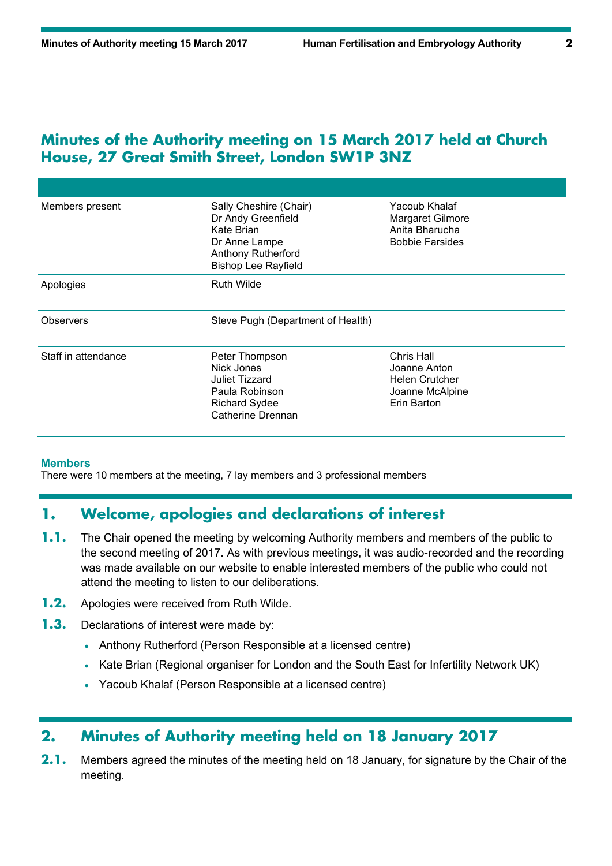#### **Minutes of the Authority meeting on 15 March 2017 held at Church House, 27 Great Smith Street, London SW1P 3NZ**

| Members present     | Sally Cheshire (Chair)<br>Dr Andy Greenfield<br>Kate Brian<br>Dr Anne Lampe<br><b>Anthony Rutherford</b><br><b>Bishop Lee Rayfield</b> | Yacoub Khalaf<br>Margaret Gilmore<br>Anita Bharucha<br><b>Bobbie Farsides</b>         |  |
|---------------------|----------------------------------------------------------------------------------------------------------------------------------------|---------------------------------------------------------------------------------------|--|
| Apologies           | <b>Ruth Wilde</b>                                                                                                                      |                                                                                       |  |
| <b>Observers</b>    | Steve Pugh (Department of Health)                                                                                                      |                                                                                       |  |
| Staff in attendance | Peter Thompson<br>Nick Jones<br><b>Juliet Tizzard</b><br>Paula Robinson                                                                | Chris Hall<br>Joanne Anton<br><b>Helen Crutcher</b><br>Joanne McAlpine<br>Erin Barton |  |

#### **Members**

There were 10 members at the meeting, 7 lay members and 3 professional members

#### **1. Welcome, apologies and declarations of interest**

- **1.1.** The Chair opened the meeting by welcoming Authority members and members of the public to the second meeting of 2017. As with previous meetings, it was audio-recorded and the recording was made available on our website to enable interested members of the public who could not attend the meeting to listen to our deliberations.
- **1.2.** Apologies were received from Ruth Wilde.
- **1.3.** Declarations of interest were made by:
	- Anthony Rutherford (Person Responsible at a licensed centre)
	- Kate Brian (Regional organiser for London and the South East for Infertility Network UK)
	- Yacoub Khalaf (Person Responsible at a licensed centre)

## **2. Minutes of Authority meeting held on 18 January 2017**

**2.1.** Members agreed the minutes of the meeting held on 18 January, for signature by the Chair of the meeting.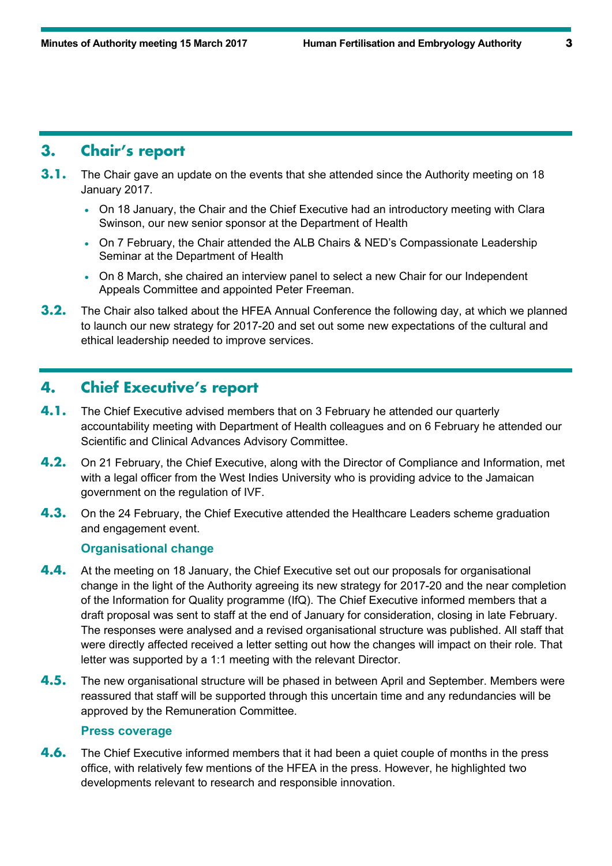#### **3. Chair's report**

- **3.1.** The Chair gave an update on the events that she attended since the Authority meeting on 18 January 2017.
	- On 18 January, the Chair and the Chief Executive had an introductory meeting with Clara Swinson, our new senior sponsor at the Department of Health
	- On 7 February, the Chair attended the ALB Chairs & NED's Compassionate Leadership Seminar at the Department of Health
	- On 8 March, she chaired an interview panel to select a new Chair for our Independent Appeals Committee and appointed Peter Freeman.
- **3.2.** The Chair also talked about the HFEA Annual Conference the following day, at which we planned to launch our new strategy for 2017-20 and set out some new expectations of the cultural and ethical leadership needed to improve services.

#### **4. Chief Executive's report**

- **4.1.** The Chief Executive advised members that on 3 February he attended our quarterly accountability meeting with Department of Health colleagues and on 6 February he attended our Scientific and Clinical Advances Advisory Committee.
- **4.2.** On 21 February, the Chief Executive, along with the Director of Compliance and Information, met with a legal officer from the West Indies University who is providing advice to the Jamaican government on the regulation of IVF.
- **4.3.** On the 24 February, the Chief Executive attended the Healthcare Leaders scheme graduation and engagement event.

#### **Organisational change**

- **4.4.** At the meeting on 18 January, the Chief Executive set out our proposals for organisational change in the light of the Authority agreeing its new strategy for 2017-20 and the near completion of the Information for Quality programme (IfQ). The Chief Executive informed members that a draft proposal was sent to staff at the end of January for consideration, closing in late February. The responses were analysed and a revised organisational structure was published. All staff that were directly affected received a letter setting out how the changes will impact on their role. That letter was supported by a 1:1 meeting with the relevant Director.
- **4.5.** The new organisational structure will be phased in between April and September. Members were reassured that staff will be supported through this uncertain time and any redundancies will be approved by the Remuneration Committee.

#### **Press coverage**

**4.6.** The Chief Executive informed members that it had been a quiet couple of months in the press office, with relatively few mentions of the HFEA in the press. However, he highlighted two developments relevant to research and responsible innovation.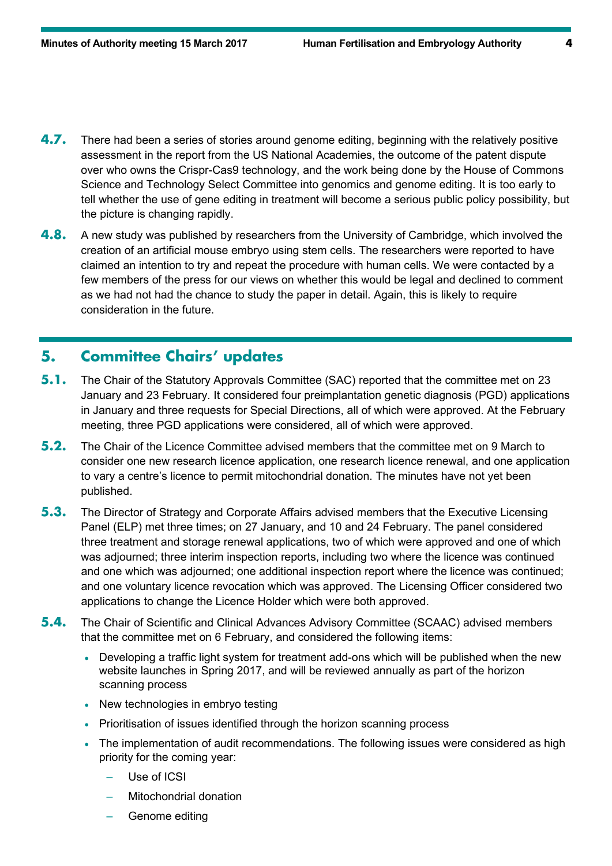- **4.7.** There had been a series of stories around genome editing, beginning with the relatively positive assessment in the report from the US National Academies, the outcome of the patent dispute over who owns the Crispr-Cas9 technology, and the work being done by the House of Commons Science and Technology Select Committee into genomics and genome editing. It is too early to tell whether the use of gene editing in treatment will become a serious public policy possibility, but the picture is changing rapidly.
- **4.8.** A new study was published by researchers from the University of Cambridge, which involved the creation of an artificial mouse embryo using stem cells. The researchers were reported to have claimed an intention to try and repeat the procedure with human cells. We were contacted by a few members of the press for our views on whether this would be legal and declined to comment as we had not had the chance to study the paper in detail. Again, this is likely to require consideration in the future.

## **5. Committee Chairs' updates**

- **5.1.** The Chair of the Statutory Approvals Committee (SAC) reported that the committee met on 23 January and 23 February. It considered four preimplantation genetic diagnosis (PGD) applications in January and three requests for Special Directions, all of which were approved. At the February meeting, three PGD applications were considered, all of which were approved.
- **5.2.** The Chair of the Licence Committee advised members that the committee met on 9 March to consider one new research licence application, one research licence renewal, and one application to vary a centre's licence to permit mitochondrial donation. The minutes have not yet been published.
- **5.3.** The Director of Strategy and Corporate Affairs advised members that the Executive Licensing Panel (ELP) met three times; on 27 January, and 10 and 24 February. The panel considered three treatment and storage renewal applications, two of which were approved and one of which was adjourned; three interim inspection reports, including two where the licence was continued and one which was adjourned; one additional inspection report where the licence was continued; and one voluntary licence revocation which was approved. The Licensing Officer considered two applications to change the Licence Holder which were both approved.
- **5.4.** The Chair of Scientific and Clinical Advances Advisory Committee (SCAAC) advised members that the committee met on 6 February, and considered the following items:
	- Developing a traffic light system for treatment add-ons which will be published when the new website launches in Spring 2017, and will be reviewed annually as part of the horizon scanning process
	- New technologies in embryo testing
	- Prioritisation of issues identified through the horizon scanning process
	- The implementation of audit recommendations. The following issues were considered as high priority for the coming year:
		- Use of ICSI
		- Mitochondrial donation
		- Genome editing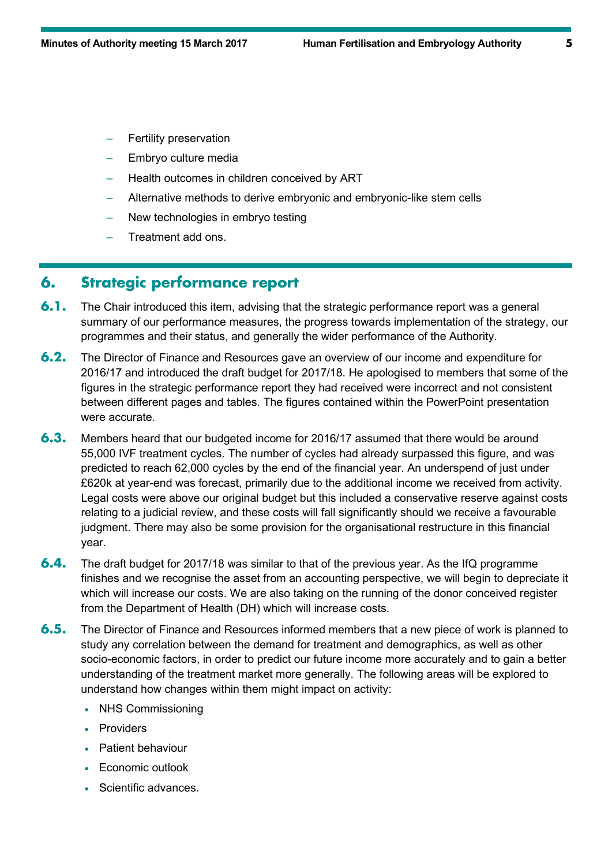- Fertility preservation
- Embryo culture media
- Health outcomes in children conceived by ART
- Alternative methods to derive embryonic and embryonic-like stem cells
- New technologies in embryo testing
- Treatment add ons.

# **6. Strategic performance report**

- **6.1.** The Chair introduced this item, advising that the strategic performance report was a general summary of our performance measures, the progress towards implementation of the strategy, our programmes and their status, and generally the wider performance of the Authority.
- **6.2.** The Director of Finance and Resources gave an overview of our income and expenditure for 2016/17 and introduced the draft budget for 2017/18. He apologised to members that some of the figures in the strategic performance report they had received were incorrect and not consistent between different pages and tables. The figures contained within the PowerPoint presentation were accurate.
- **6.3.** Members heard that our budgeted income for 2016/17 assumed that there would be around 55,000 IVF treatment cycles. The number of cycles had already surpassed this figure, and was predicted to reach 62,000 cycles by the end of the financial year. An underspend of just under £620k at year-end was forecast, primarily due to the additional income we received from activity. Legal costs were above our original budget but this included a conservative reserve against costs relating to a judicial review, and these costs will fall significantly should we receive a favourable judgment. There may also be some provision for the organisational restructure in this financial year.
- **6.4.** The draft budget for 2017/18 was similar to that of the previous year. As the IfQ programme finishes and we recognise the asset from an accounting perspective, we will begin to depreciate it which will increase our costs. We are also taking on the running of the donor conceived register from the Department of Health (DH) which will increase costs.
- **6.5.** The Director of Finance and Resources informed members that a new piece of work is planned to study any correlation between the demand for treatment and demographics, as well as other socio-economic factors, in order to predict our future income more accurately and to gain a better understanding of the treatment market more generally. The following areas will be explored to understand how changes within them might impact on activity:
	- NHS Commissioning
	- Providers
	- Patient behaviour
	- Economic outlook
	- Scientific advances.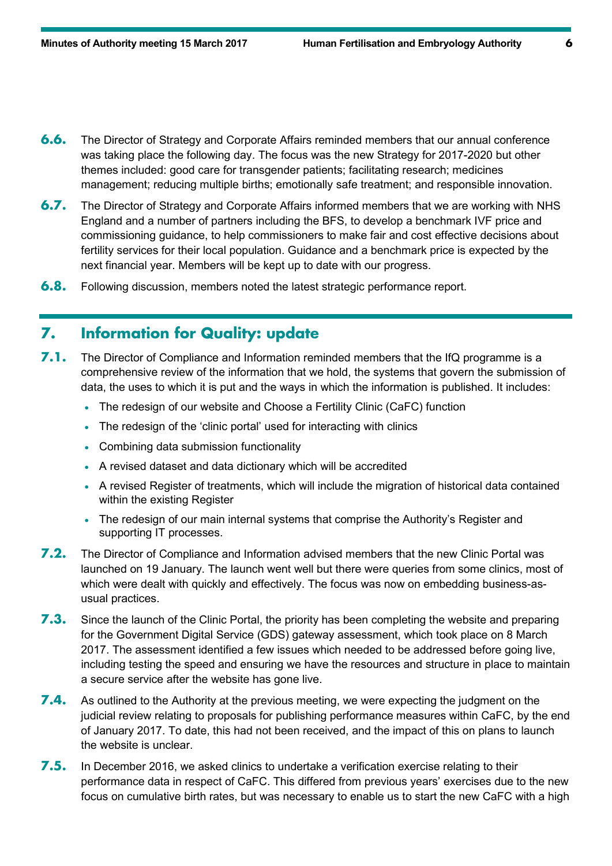- **6.6.** The Director of Strategy and Corporate Affairs reminded members that our annual conference was taking place the following day. The focus was the new Strategy for 2017-2020 but other themes included: good care for transgender patients; facilitating research; medicines management; reducing multiple births; emotionally safe treatment; and responsible innovation.
- **6.7.** The Director of Strategy and Corporate Affairs informed members that we are working with NHS England and a number of partners including the BFS, to develop a benchmark IVF price and commissioning guidance, to help commissioners to make fair and cost effective decisions about fertility services for their local population. Guidance and a benchmark price is expected by the next financial year. Members will be kept up to date with our progress.
- **6.8.** Following discussion, members noted the latest strategic performance report.

## **7. Information for Quality: update**

- **7.1.** The Director of Compliance and Information reminded members that the IfQ programme is a comprehensive review of the information that we hold, the systems that govern the submission of data, the uses to which it is put and the ways in which the information is published. It includes:
	- The redesign of our website and Choose a Fertility Clinic (CaFC) function
	- The redesign of the 'clinic portal' used for interacting with clinics
	- Combining data submission functionality
	- A revised dataset and data dictionary which will be accredited
	- A revised Register of treatments, which will include the migration of historical data contained within the existing Register
	- The redesign of our main internal systems that comprise the Authority's Register and supporting IT processes.
- **7.2.** The Director of Compliance and Information advised members that the new Clinic Portal was launched on 19 January. The launch went well but there were queries from some clinics, most of which were dealt with quickly and effectively. The focus was now on embedding business-asusual practices.
- **7.3.** Since the launch of the Clinic Portal, the priority has been completing the website and preparing for the Government Digital Service (GDS) gateway assessment, which took place on 8 March 2017. The assessment identified a few issues which needed to be addressed before going live, including testing the speed and ensuring we have the resources and structure in place to maintain a secure service after the website has gone live.
- **7.4.** As outlined to the Authority at the previous meeting, we were expecting the judgment on the judicial review relating to proposals for publishing performance measures within CaFC, by the end of January 2017. To date, this had not been received, and the impact of this on plans to launch the website is unclear.
- **7.5.** In December 2016, we asked clinics to undertake a verification exercise relating to their performance data in respect of CaFC. This differed from previous years' exercises due to the new focus on cumulative birth rates, but was necessary to enable us to start the new CaFC with a high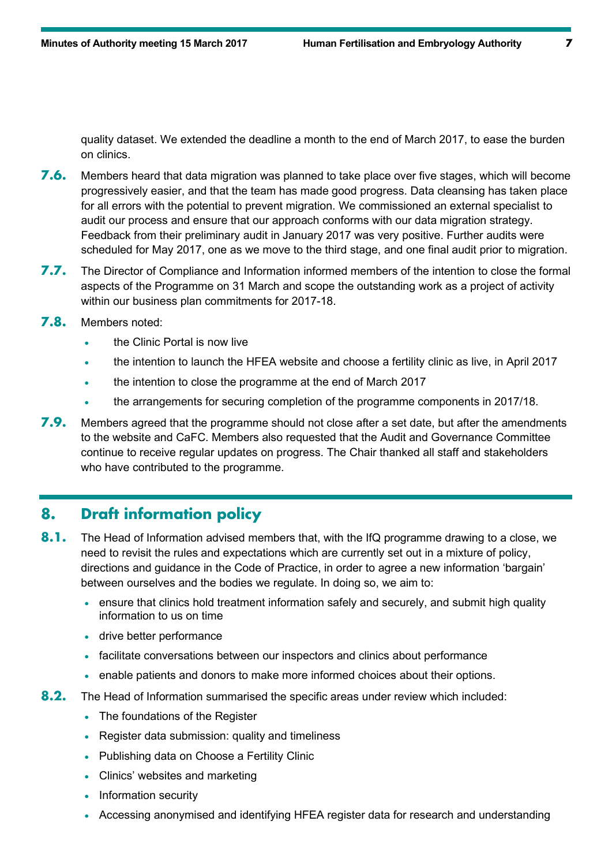quality dataset. We extended the deadline a month to the end of March 2017, to ease the burden on clinics.

- **7.6.** Members heard that data migration was planned to take place over five stages, which will become progressively easier, and that the team has made good progress. Data cleansing has taken place for all errors with the potential to prevent migration. We commissioned an external specialist to audit our process and ensure that our approach conforms with our data migration strategy. Feedback from their preliminary audit in January 2017 was very positive. Further audits were scheduled for May 2017, one as we move to the third stage, and one final audit prior to migration.
- **7.7.** The Director of Compliance and Information informed members of the intention to close the formal aspects of the Programme on 31 March and scope the outstanding work as a project of activity within our business plan commitments for 2017-18.
- **7.8.** Members noted:
	- the Clinic Portal is now live
	- the intention to launch the HFEA website and choose a fertility clinic as live, in April 2017
	- the intention to close the programme at the end of March 2017
	- the arrangements for securing completion of the programme components in 2017/18.
- **7.9.** Members agreed that the programme should not close after a set date, but after the amendments to the website and CaFC. Members also requested that the Audit and Governance Committee continue to receive regular updates on progress. The Chair thanked all staff and stakeholders who have contributed to the programme.

#### **8. Draft information policy**

- **8.1.** The Head of Information advised members that, with the IfQ programme drawing to a close, we need to revisit the rules and expectations which are currently set out in a mixture of policy, directions and guidance in the Code of Practice, in order to agree a new information 'bargain' between ourselves and the bodies we regulate. In doing so, we aim to:
	- ensure that clinics hold treatment information safely and securely, and submit high quality information to us on time
	- drive better performance
	- facilitate conversations between our inspectors and clinics about performance
	- enable patients and donors to make more informed choices about their options.
- **8.2.** The Head of Information summarised the specific areas under review which included:
	- The foundations of the Register
	- Register data submission: quality and timeliness
	- Publishing data on Choose a Fertility Clinic
	- Clinics' websites and marketing
	- Information security
	- Accessing anonymised and identifying HFEA register data for research and understanding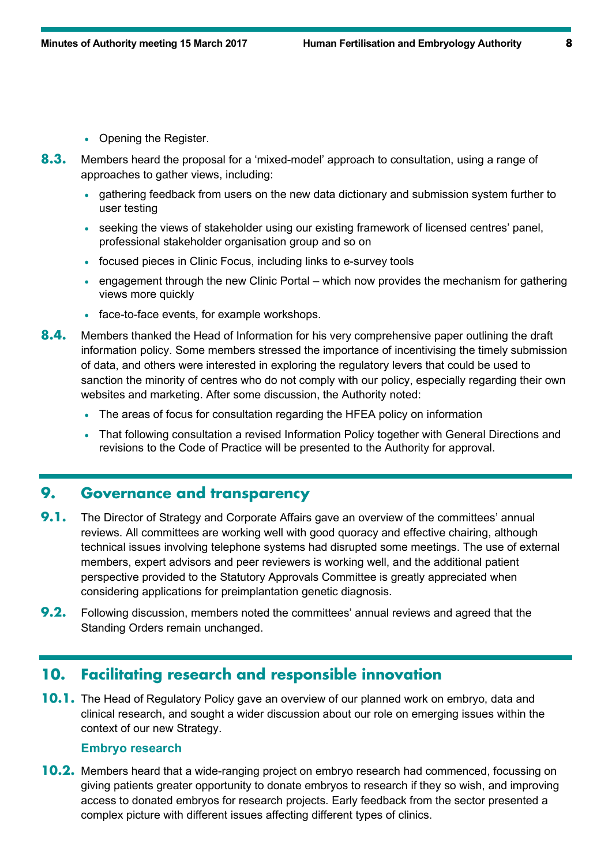- Opening the Register.
- **8.3.** Members heard the proposal for a 'mixed-model' approach to consultation, using a range of approaches to gather views, including:
	- gathering feedback from users on the new data dictionary and submission system further to user testing
	- seeking the views of stakeholder using our existing framework of licensed centres' panel, professional stakeholder organisation group and so on
	- focused pieces in Clinic Focus, including links to e-survey tools
	- engagement through the new Clinic Portal which now provides the mechanism for gathering views more quickly
	- face-to-face events, for example workshops.
- **8.4.** Members thanked the Head of Information for his very comprehensive paper outlining the draft information policy. Some members stressed the importance of incentivising the timely submission of data, and others were interested in exploring the regulatory levers that could be used to sanction the minority of centres who do not comply with our policy, especially regarding their own websites and marketing. After some discussion, the Authority noted:
	- The areas of focus for consultation regarding the HFEA policy on information
	- That following consultation a revised Information Policy together with General Directions and revisions to the Code of Practice will be presented to the Authority for approval.

## **9. Governance and transparency**

- **9.1.** The Director of Strategy and Corporate Affairs gave an overview of the committees' annual reviews. All committees are working well with good quoracy and effective chairing, although technical issues involving telephone systems had disrupted some meetings. The use of external members, expert advisors and peer reviewers is working well, and the additional patient perspective provided to the Statutory Approvals Committee is greatly appreciated when considering applications for preimplantation genetic diagnosis.
- **9.2.** Following discussion, members noted the committees' annual reviews and agreed that the Standing Orders remain unchanged.

#### **10. Facilitating research and responsible innovation**

**10.1.** The Head of Regulatory Policy gave an overview of our planned work on embryo, data and clinical research, and sought a wider discussion about our role on emerging issues within the context of our new Strategy.

#### **Embryo research**

**10.2.** Members heard that a wide-ranging project on embryo research had commenced, focussing on giving patients greater opportunity to donate embryos to research if they so wish, and improving access to donated embryos for research projects. Early feedback from the sector presented a complex picture with different issues affecting different types of clinics.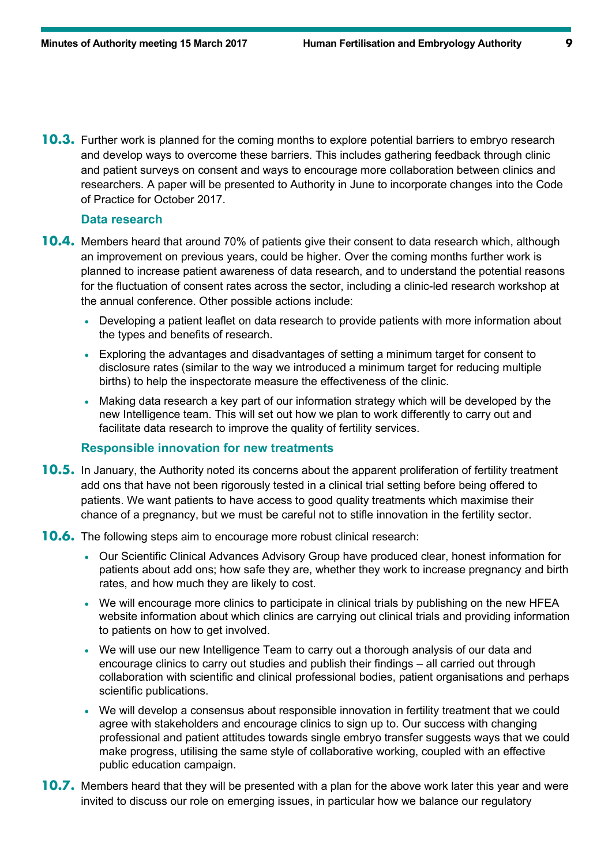**10.3.** Further work is planned for the coming months to explore potential barriers to embryo research and develop ways to overcome these barriers. This includes gathering feedback through clinic and patient surveys on consent and ways to encourage more collaboration between clinics and researchers. A paper will be presented to Authority in June to incorporate changes into the Code of Practice for October 2017.

#### **Data research**

- **10.4.** Members heard that around 70% of patients give their consent to data research which, although an improvement on previous years, could be higher. Over the coming months further work is planned to increase patient awareness of data research, and to understand the potential reasons for the fluctuation of consent rates across the sector, including a clinic-led research workshop at the annual conference. Other possible actions include:
	- Developing a patient leaflet on data research to provide patients with more information about the types and benefits of research.
	- Exploring the advantages and disadvantages of setting a minimum target for consent to disclosure rates (similar to the way we introduced a minimum target for reducing multiple births) to help the inspectorate measure the effectiveness of the clinic.
	- Making data research a key part of our information strategy which will be developed by the new Intelligence team. This will set out how we plan to work differently to carry out and facilitate data research to improve the quality of fertility services.

#### **Responsible innovation for new treatments**

- **10.5.** In January, the Authority noted its concerns about the apparent proliferation of fertility treatment add ons that have not been rigorously tested in a clinical trial setting before being offered to patients. We want patients to have access to good quality treatments which maximise their chance of a pregnancy, but we must be careful not to stifle innovation in the fertility sector.
- **10.6.** The following steps aim to encourage more robust clinical research:
	- Our Scientific Clinical Advances Advisory Group have produced clear, honest information for patients about add ons; how safe they are, whether they work to increase pregnancy and birth rates, and how much they are likely to cost.
	- We will encourage more clinics to participate in clinical trials by publishing on the new HFEA website information about which clinics are carrying out clinical trials and providing information to patients on how to get involved.
	- We will use our new Intelligence Team to carry out a thorough analysis of our data and encourage clinics to carry out studies and publish their findings – all carried out through collaboration with scientific and clinical professional bodies, patient organisations and perhaps scientific publications.
	- We will develop a consensus about responsible innovation in fertility treatment that we could agree with stakeholders and encourage clinics to sign up to. Our success with changing professional and patient attitudes towards single embryo transfer suggests ways that we could make progress, utilising the same style of collaborative working, coupled with an effective public education campaign.
- **10.7.** Members heard that they will be presented with a plan for the above work later this year and were invited to discuss our role on emerging issues, in particular how we balance our regulatory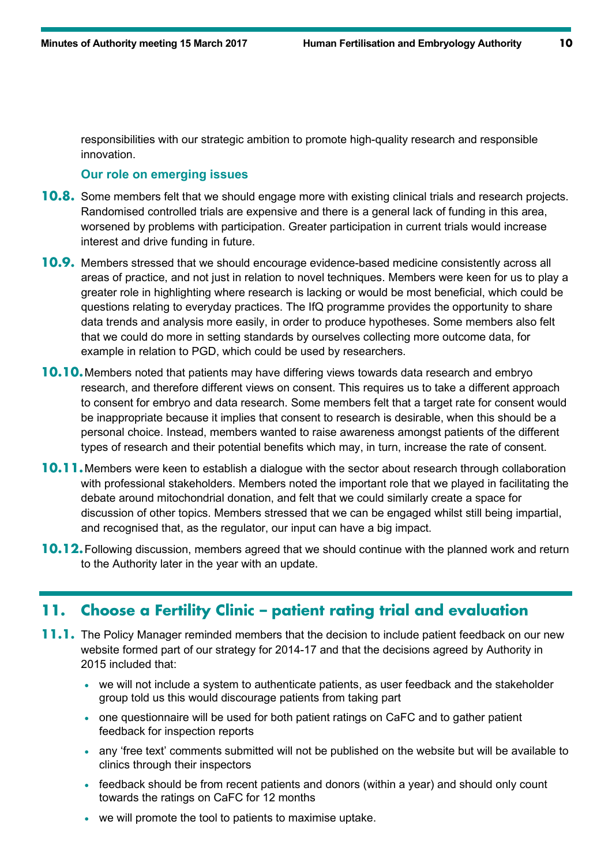responsibilities with our strategic ambition to promote high-quality research and responsible innovation.

#### **Our role on emerging issues**

- **10.8.** Some members felt that we should engage more with existing clinical trials and research projects. Randomised controlled trials are expensive and there is a general lack of funding in this area, worsened by problems with participation. Greater participation in current trials would increase interest and drive funding in future.
- **10.9.** Members stressed that we should encourage evidence-based medicine consistently across all areas of practice, and not just in relation to novel techniques. Members were keen for us to play a greater role in highlighting where research is lacking or would be most beneficial, which could be questions relating to everyday practices. The IfQ programme provides the opportunity to share data trends and analysis more easily, in order to produce hypotheses. Some members also felt that we could do more in setting standards by ourselves collecting more outcome data, for example in relation to PGD, which could be used by researchers.
- **10.10.**Members noted that patients may have differing views towards data research and embryo research, and therefore different views on consent. This requires us to take a different approach to consent for embryo and data research. Some members felt that a target rate for consent would be inappropriate because it implies that consent to research is desirable, when this should be a personal choice. Instead, members wanted to raise awareness amongst patients of the different types of research and their potential benefits which may, in turn, increase the rate of consent.
- **10.11.**Members were keen to establish a dialogue with the sector about research through collaboration with professional stakeholders. Members noted the important role that we played in facilitating the debate around mitochondrial donation, and felt that we could similarly create a space for discussion of other topics. Members stressed that we can be engaged whilst still being impartial, and recognised that, as the regulator, our input can have a big impact.
- **10.12.**Following discussion, members agreed that we should continue with the planned work and return to the Authority later in the year with an update.

## **11. Choose a Fertility Clinic – patient rating trial and evaluation**

- **11.1.** The Policy Manager reminded members that the decision to include patient feedback on our new website formed part of our strategy for 2014-17 and that the decisions agreed by Authority in 2015 included that:
	- we will not include a system to authenticate patients, as user feedback and the stakeholder group told us this would discourage patients from taking part
	- one questionnaire will be used for both patient ratings on CaFC and to gather patient feedback for inspection reports
	- any 'free text' comments submitted will not be published on the website but will be available to clinics through their inspectors
	- feedback should be from recent patients and donors (within a year) and should only count towards the ratings on CaFC for 12 months
	- we will promote the tool to patients to maximise uptake.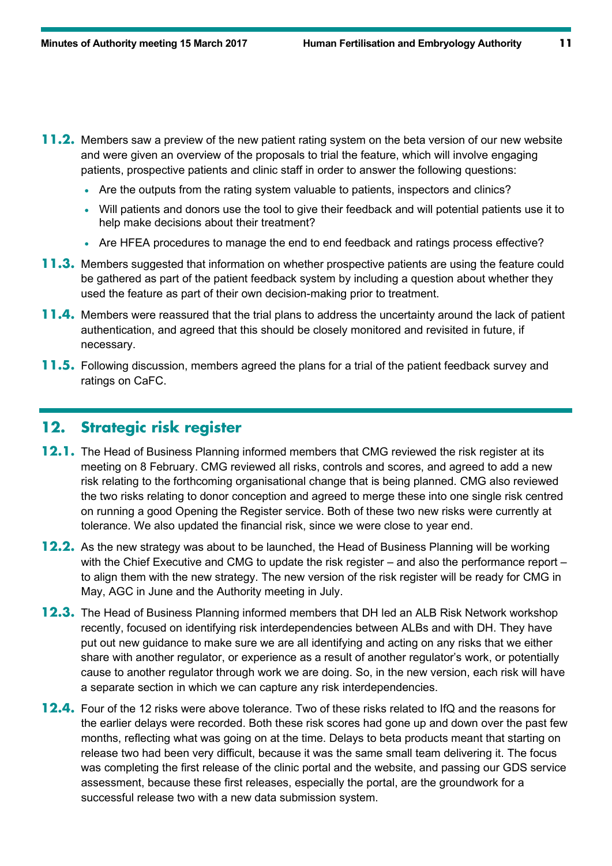- **11.2.** Members saw a preview of the new patient rating system on the beta version of our new website and were given an overview of the proposals to trial the feature, which will involve engaging patients, prospective patients and clinic staff in order to answer the following questions:
	- Are the outputs from the rating system valuable to patients, inspectors and clinics?
	- Will patients and donors use the tool to give their feedback and will potential patients use it to help make decisions about their treatment?
	- Are HFEA procedures to manage the end to end feedback and ratings process effective?
- **11.3.** Members suggested that information on whether prospective patients are using the feature could be gathered as part of the patient feedback system by including a question about whether they used the feature as part of their own decision-making prior to treatment.
- **11.4.** Members were reassured that the trial plans to address the uncertainty around the lack of patient authentication, and agreed that this should be closely monitored and revisited in future, if necessary.
- **11.5.** Following discussion, members agreed the plans for a trial of the patient feedback survey and ratings on CaFC.

## **12. Strategic risk register**

- **12.1.** The Head of Business Planning informed members that CMG reviewed the risk register at its meeting on 8 February. CMG reviewed all risks, controls and scores, and agreed to add a new risk relating to the forthcoming organisational change that is being planned. CMG also reviewed the two risks relating to donor conception and agreed to merge these into one single risk centred on running a good Opening the Register service. Both of these two new risks were currently at tolerance. We also updated the financial risk, since we were close to year end.
- **12.2.** As the new strategy was about to be launched, the Head of Business Planning will be working with the Chief Executive and CMG to update the risk register – and also the performance report – to align them with the new strategy. The new version of the risk register will be ready for CMG in May, AGC in June and the Authority meeting in July.
- **12.3.** The Head of Business Planning informed members that DH led an ALB Risk Network workshop recently, focused on identifying risk interdependencies between ALBs and with DH. They have put out new guidance to make sure we are all identifying and acting on any risks that we either share with another regulator, or experience as a result of another regulator's work, or potentially cause to another regulator through work we are doing. So, in the new version, each risk will have a separate section in which we can capture any risk interdependencies.
- **12.4.** Four of the 12 risks were above tolerance. Two of these risks related to IfQ and the reasons for the earlier delays were recorded. Both these risk scores had gone up and down over the past few months, reflecting what was going on at the time. Delays to beta products meant that starting on release two had been very difficult, because it was the same small team delivering it. The focus was completing the first release of the clinic portal and the website, and passing our GDS service assessment, because these first releases, especially the portal, are the groundwork for a successful release two with a new data submission system.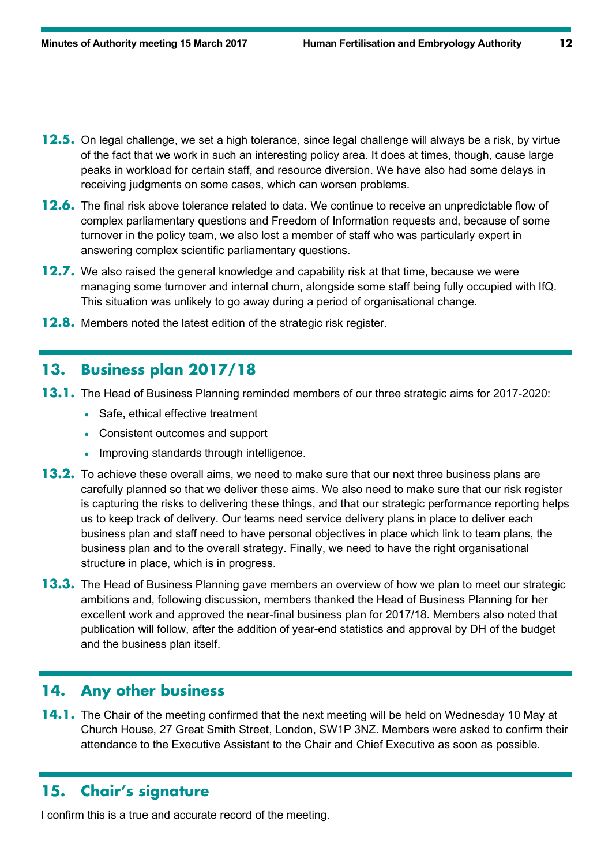- **12.5.** On legal challenge, we set a high tolerance, since legal challenge will always be a risk, by virtue of the fact that we work in such an interesting policy area. It does at times, though, cause large peaks in workload for certain staff, and resource diversion. We have also had some delays in receiving judgments on some cases, which can worsen problems.
- **12.6.** The final risk above tolerance related to data. We continue to receive an unpredictable flow of complex parliamentary questions and Freedom of Information requests and, because of some turnover in the policy team, we also lost a member of staff who was particularly expert in answering complex scientific parliamentary questions.
- **12.7.** We also raised the general knowledge and capability risk at that time, because we were managing some turnover and internal churn, alongside some staff being fully occupied with IfQ. This situation was unlikely to go away during a period of organisational change.
- **12.8.** Members noted the latest edition of the strategic risk register.

## **13. Business plan 2017/18**

- **13.1.** The Head of Business Planning reminded members of our three strategic aims for 2017-2020:
	- Safe, ethical effective treatment
	- Consistent outcomes and support
	- Improving standards through intelligence.
- **13.2.** To achieve these overall aims, we need to make sure that our next three business plans are carefully planned so that we deliver these aims. We also need to make sure that our risk register is capturing the risks to delivering these things, and that our strategic performance reporting helps us to keep track of delivery. Our teams need service delivery plans in place to deliver each business plan and staff need to have personal objectives in place which link to team plans, the business plan and to the overall strategy. Finally, we need to have the right organisational structure in place, which is in progress.
- **13.3.** The Head of Business Planning gave members an overview of how we plan to meet our strategic ambitions and, following discussion, members thanked the Head of Business Planning for her excellent work and approved the near-final business plan for 2017/18. Members also noted that publication will follow, after the addition of year-end statistics and approval by DH of the budget and the business plan itself.

#### **14. Any other business**

**14.1.** The Chair of the meeting confirmed that the next meeting will be held on Wednesday 10 May at Church House, 27 Great Smith Street, London, SW1P 3NZ. Members were asked to confirm their attendance to the Executive Assistant to the Chair and Chief Executive as soon as possible.

## **15. Chair's signature**

I confirm this is a true and accurate record of the meeting.